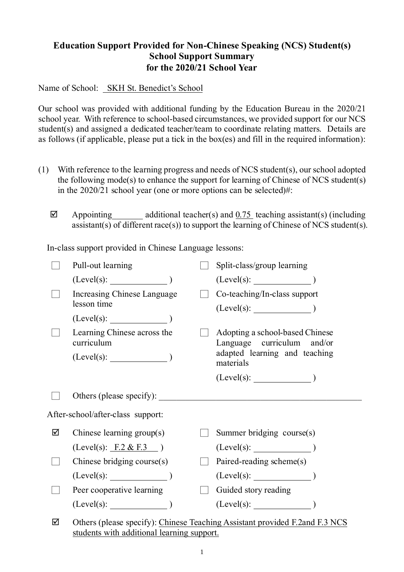## **Education Support Provided for Non-Chinese Speaking (NCS) Student(s) School Support Summary for the 2020/21 School Year**

Name of School: SKH St. Benedict's School

Our school was provided with additional funding by the Education Bureau in the 2020/21 school year. With reference to school-based circumstances, we provided support for our NCS student(s) and assigned a dedicated teacher/team to coordinate relating matters. Details are as follows (if applicable, please put a tick in the box(es) and fill in the required information):

- (1) With reference to the learning progress and needs of NCS student(s), our school adopted the following mode(s) to enhance the support for learning of Chinese of NCS student(s) in the 2020/21 school year (one or more options can be selected)#:
	- $\boxtimes$  Appointing additional teacher(s) and 0.75 teaching assistant(s) (including assistant(s) of different race(s)) to support the learning of Chinese of NCS student(s).

In-class support provided in Chinese Language lessons:

|   | Pull-out learning                          |                              | Split-class/group learning                                                                                  |
|---|--------------------------------------------|------------------------------|-------------------------------------------------------------------------------------------------------------|
|   | (Level(s):                                 |                              |                                                                                                             |
|   | Increasing Chinese Language<br>lesson time |                              | Co-teaching/In-class support                                                                                |
|   | $(Level(s):$ (Level(s):                    |                              |                                                                                                             |
|   | Learning Chinese across the<br>curriculum  |                              | Adopting a school-based Chinese<br>Language curriculum and/or<br>adapted learning and teaching<br>materials |
|   |                                            |                              |                                                                                                             |
|   | Others (please specify):                   |                              |                                                                                                             |
|   | After-school/after-class support:          |                              |                                                                                                             |
| ☑ | Chinese learning $group(s)$                |                              | Summer bridging course(s)                                                                                   |
|   | (Level(s): F.2 & F.3)                      |                              | (Level(s):                                                                                                  |
|   | Chinese bridging course(s)                 | $\mathcal{L}_{\mathrm{eff}}$ | Paired-reading scheme(s)                                                                                    |
|   |                                            |                              |                                                                                                             |
|   | Peer cooperative learning                  |                              | Guided story reading                                                                                        |
|   | $(Level(s):$ (Level(s): $)$                |                              |                                                                                                             |
| ☑ |                                            |                              | Others (please specify): Chinese Teaching Assistant provided F.2 and F.3 NCS                                |

 $\boxtimes$  Others (please specify): Chinese Teaching Assistant provided F.2and F.3 NCS students with additional learning support.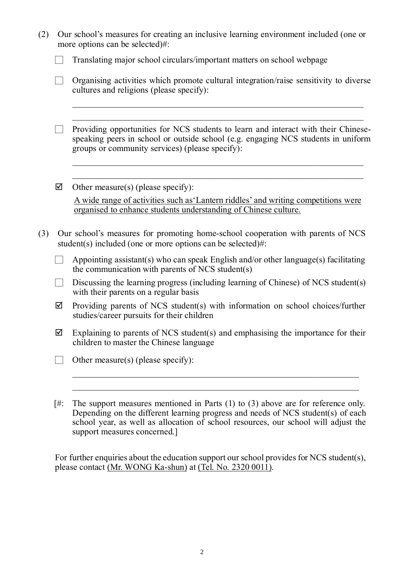| (2) | Our school's measures for creating an inclusive learning environment included (one or<br>more options can be selected)#: |                                                                                                                                                                                                                            |  |  |  |  |  |
|-----|--------------------------------------------------------------------------------------------------------------------------|----------------------------------------------------------------------------------------------------------------------------------------------------------------------------------------------------------------------------|--|--|--|--|--|
|     |                                                                                                                          | Translating major school circulars/important matters on school webpage                                                                                                                                                     |  |  |  |  |  |
|     |                                                                                                                          | Organising activities which promote cultural integration/raise sensitivity to diverse<br>cultures and religions (please specify):                                                                                          |  |  |  |  |  |
|     |                                                                                                                          | Providing opportunities for NCS students to learn and interact with their Chinese-<br>speaking peers in school or outside school (e.g. engaging NCS students in uniform<br>groups or community services) (please specify): |  |  |  |  |  |
|     | ☑                                                                                                                        | Other measure(s) (please specify):                                                                                                                                                                                         |  |  |  |  |  |
|     |                                                                                                                          | A wide range of activities such as 'Lantern riddles' and writing competitions were<br>organised to enhance students understanding of Chinese culture.                                                                      |  |  |  |  |  |
| (3) |                                                                                                                          | Our school's measures for promoting home-school cooperation with parents of NCS<br>student(s) included (one or more options can be selected)#:                                                                             |  |  |  |  |  |
|     |                                                                                                                          | Appointing assistant(s) who can speak English and/or other language(s) facilitating<br>the communication with parents of NCS student(s)                                                                                    |  |  |  |  |  |
|     |                                                                                                                          | Discussing the learning progress (including learning of Chinese) of NCS student(s)<br>with their parents on a regular basis                                                                                                |  |  |  |  |  |
|     | ☑                                                                                                                        | Providing parents of NCS student(s) with information on school choices/further<br>studies/career pursuits for their children                                                                                               |  |  |  |  |  |
|     | ☑                                                                                                                        | Explaining to parents of NCS student(s) and emphasising the importance for their<br>children to master the Chinese language                                                                                                |  |  |  |  |  |
|     |                                                                                                                          | Other measure(s) (please specify):                                                                                                                                                                                         |  |  |  |  |  |
|     | [#:                                                                                                                      | The support measures mentioned in Parts $(1)$ to $(3)$ above are for reference only.                                                                                                                                       |  |  |  |  |  |
|     |                                                                                                                          | Depending on the different learning progress and needs of NCS student(s) of each<br>school year, as well as allocation of school resources, our school will adjust the                                                     |  |  |  |  |  |

For further enquiries about the education support our school provides for NCS student(s),

please contact (Mr. WONG Ka-shun) at (Tel. No. 2320 0011).

support measures concerned.]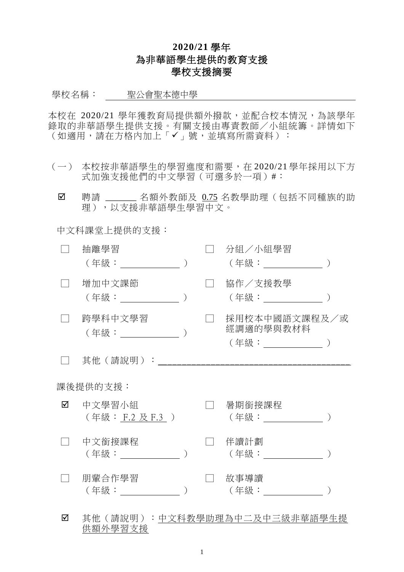## **2020/21** 學年 為非華語學生提供的教育支援 學校支援摘要

學校名稱: 聖公會聖本德中學

本校在 2020/21 學年獲教育局提供額外撥款,並配合校本情況,為該學年 錄取的非華語學生提供支援。有關支援由專責教師/小組統籌。詳情如下 (如適用,請在方格內加上「✔」號,並填寫所需資料):

- (一) 本校按非華語學生的學習進度和需要,在 2020/21 學年採用以下方 式加強支援他們的中文學習(可選多於一項)#:
	- ☑ 聘請 \_\_\_\_\_\_ 名額外教師及 0.75 名教學助理 (包括不同種族的助 理),以支援非華語學生學習中文。

中文科課堂上提供的支援:

供額外學習支援

|          | 抽離學習<br>( 年級 :           ) |  |  | 分組/小組學習<br>(年級: ___________)                       |  |  |  |  |  |
|----------|----------------------------|--|--|----------------------------------------------------|--|--|--|--|--|
|          | 增加中文課節<br>(年級: しゅうしょう)     |  |  | 協作/支援教學<br>(年級: _________                          |  |  |  |  |  |
|          | 跨學科中文學習<br>(年級: ______ )   |  |  | 採用校本中國語文課程及/或<br>經調適的學與教材料<br>(年級:_______________) |  |  |  |  |  |
|          | 其他(請說明):                   |  |  |                                                    |  |  |  |  |  |
| 課後提供的支援: |                            |  |  |                                                    |  |  |  |  |  |
| ☑        | 中文學習小組<br>(年級: F.2 及 F.3 ) |  |  | 暑期銜接課程                                             |  |  |  |  |  |
|          | 中文銜接課程<br>(年級:             |  |  | 伴讀計劃<br>(年級:                                       |  |  |  |  |  |
|          | 朋輩合作學習<br>(年級:             |  |  | 故事導讀<br>( 年級 :                                     |  |  |  |  |  |
| ☑        |                            |  |  | 其他(請說明): <u>中文科教學助理為中二及中三級非華語學生提</u>               |  |  |  |  |  |